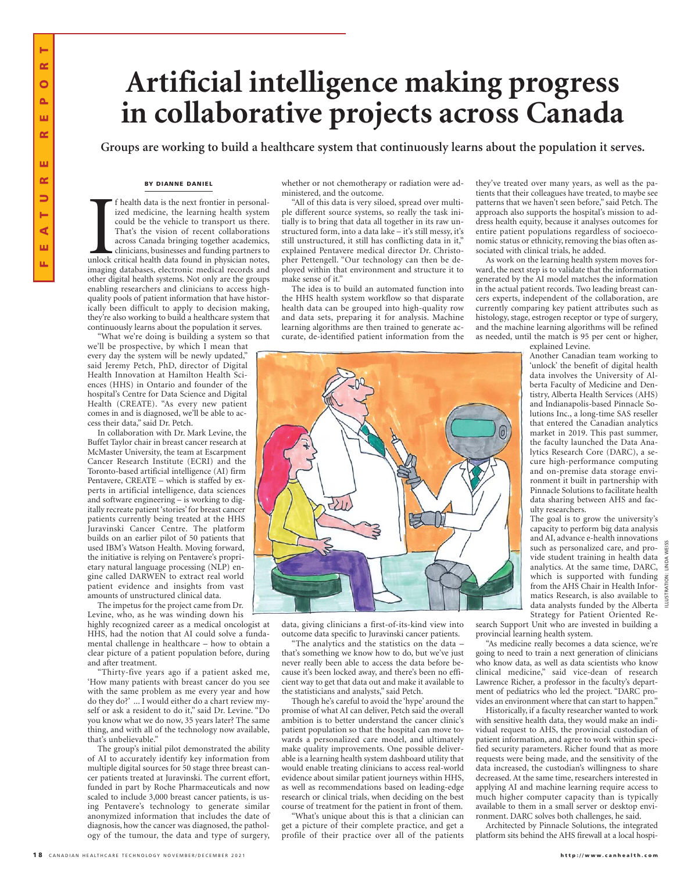# **Artificial intelligence making progress in collaborative projects across Canada**

**Groups are working to build a healthcare system that continuously learns about the population it serves.**

#### BY DIANNE DANIEL

 $\begin{bmatrix} 1 \\ 0 \\ \text{imaging} \end{bmatrix}$ f health data is the next frontier in personalized medicine, the learning health system could be the vehicle to transport us there. That's the vision of recent collaborations across Canada bringing together academics, clinicians, businesses and funding partners to unlock critical health data found in physician notes, imaging databases, electronic medical records and other digital health systems. Not only are the groups enabling researchers and clinicians to access highquality pools of patient information that have historically been difficult to apply to decision making, they're also working to build a healthcare system that continuously learns about the population it serves.

'What we're doing is building a system so that we'll be prospective, by which I mean that every day the system will be newly updated," said Jeremy Petch, PhD, director of Digital Health Innovation at Hamilton Health Sciences (HHS) in Ontario and founder of the hospital's Centre for Data Science and Digital Health (CREATE). "As every new patient comes in and is diagnosed, we'll be able to access their data," said Dr. Petch.

In collaboration with Dr. Mark Levine, the Buffet Taylor chair in breast cancer research at McMaster University, the team at Escarpment Cancer Research Institute (ECRI) and the Toronto-based artificial intelligence (AI) firm Pentavere, CREATE – which is staffed by experts in artificial intelligence, data sciences and software engineering – is working to digitally recreate patient 'stories' for breast cancer patients currently being treated at the HHS Juravinski Cancer Centre. The platform builds on an earlier pilot of 50 patients that used IBM's Watson Health. Moving forward, the initiative is relying on Pentavere's proprietary natural language processing (NLP) engine called DARWEN to extract real world patient evidence and insights from vast amounts of unstructured clinical data.

The impetus for the project came from Dr. Levine, who, as he was winding down his

highly recognized career as a medical oncologist at HHS, had the notion that AI could solve a fundamental challenge in healthcare – how to obtain a clear picture of a patient population before, during and after treatment.

"Thirty-five years ago if a patient asked me, 'How many patients with breast cancer do you see with the same problem as me every year and how do they do?' ... I would either do a chart review myself or ask a resident to do it," said Dr. Levine. "Do you know what we do now, 35 years later? The same thing, and with all of the technology now available, that's unbelievable."

The group's initial pilot demonstrated the ability of AI to accurately identify key information from multiple digital sources for 50 stage three breast cancer patients treated at Juravinski. The current effort, funded in part by Roche Pharmaceuticals and now scaled to include 3,000 breast cancer patients, is using Pentavere's technology to generate similar anonymized information that includes the date of diagnosis, how the cancer was diagnosed, the pathology of the tumour, the data and type of surgery, whether or not chemotherapy or radiation were administered, and the outcome.

"All of this data is very siloed, spread over multiple different source systems, so really the task initially is to bring that data all together in its raw unstructured form, into a data lake – it's still messy, it's still unstructured, it still has conflicting data in it," explained Pentavere medical director Dr. Christopher Pettengell. "Our technology can then be deployed within that environment and structure it to make sense of it."

The idea is to build an automated function into the HHS health system workflow so that disparate health data can be grouped into high-quality row and data sets, preparing it for analysis. Machine learning algorithms are then trained to generate accurate, de-identified patient information from the they've treated over many years, as well as the patients that their colleagues have treated, to maybe see patterns that we haven't seen before," said Petch. The approach also supports the hospital's mission to address health equity, because it analyses outcomes for entire patient populations regardless of socioeconomic status or ethnicity, removing the bias often associated with clinical trials, he added.

As work on the learning health system moves forward, the next step is to validate that the information generated by the AI model matches the information in the actual patient records. Two leading breast cancers experts, independent of the collaboration, are currently comparing key patient attributes such as histology, stage, estrogen receptor or type of surgery, and the machine learning algorithms will be refined as needed, until the match is 95 per cent or higher, explained Levine.

957

data, giving clinicians a first-of-its-kind view into outcome data specific to Juravinski cancer patients.

"The analytics and the statistics on the data – that's something we know how to do, but we've just never really been able to access the data before because it's been locked away, and there's been no efficient way to get that data out and make it available to the statisticians and analysts," said Petch.

Though he's careful to avoid the 'hype' around the promise of what AI can deliver, Petch said the overall ambition is to better understand the cancer clinic's patient population so that the hospital can move towards a personalized care model, and ultimately make quality improvements. One possible deliverable is a learning health system dashboard utility that would enable treating clinicians to access real-world evidence about similar patient journeys within HHS, as well as recommendations based on leading-edge research or clinical trials, when deciding on the best course of treatment for the patient in front of them.

"What's unique about this is that a clinician can get a picture of their complete practice, and get a profile of their practice over all of the patients

Another Canadian team working to 'unlock' the benefit of digital health data involves the University of Alberta Faculty of Medicine and Dentistry, Alberta Health Services (AHS) and Indianapolis-based Pinnacle Solutions Inc., a long-time SAS reseller that entered the Canadian analytics market in 2019. This past summer, the faculty launched the Data Analytics Research Core (DARC), a se-

cure high-performance computing and on-premise data storage environment it built in partnership with Pinnacle Solutions to facilitate health data sharing between AHS and faculty researchers.

The goal is to grow the university's capacity to perform big data analysis and AI, advance e-health innovations such as personalized care, and provide student training in health data analytics. At the same time, DARC, which is supported with funding from the AHS Chair in Health Informatics Research, is also available to data analysts funded by the Alberta Strategy for Patient Oriented Re-

ILLUSTRATION: LINDA WEISS

search Support Unit who are invested in building a provincial learning health system.

"As medicine really becomes a data science, we're going to need to train a next generation of clinicians who know data, as well as data scientists who know clinical medicine," said vice-dean of research Lawrence Richer, a professor in the faculty's department of pediatrics who led the project. "DARC provides an environment where that can start to happen."

Historically, if a faculty researcher wanted to work with sensitive health data, they would make an individual request to AHS, the provincial custodian of patient information, and agree to work within specified security parameters. Richer found that as more requests were being made, and the sensitivity of the data increased, the custodian's willingness to share decreased. At the same time, researchers interested in applying AI and machine learning require access to much higher computer capacity than is typically available to them in a small server or desktop environment. DARC solves both challenges, he said.

Architected by Pinnacle Solutions, the integrated platform sits behind the AHS firewall at a local hospi-